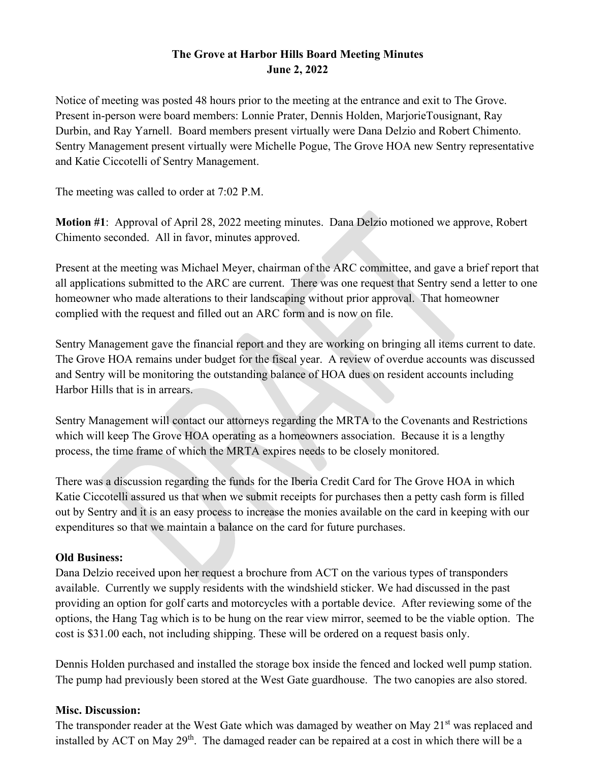## **The Grove at Harbor Hills Board Meeting Minutes June 2, 2022**

Notice of meeting was posted 48 hours prior to the meeting at the entrance and exit to The Grove. Present in-person were board members: Lonnie Prater, Dennis Holden, MarjorieTousignant, Ray Durbin, and Ray Yarnell. Board members present virtually were Dana Delzio and Robert Chimento. Sentry Management present virtually were Michelle Pogue, The Grove HOA new Sentry representative and Katie Ciccotelli of Sentry Management.

The meeting was called to order at 7:02 P.M.

**Motion #1**: Approval of April 28, 2022 meeting minutes. Dana Delzio motioned we approve, Robert Chimento seconded. All in favor, minutes approved.

Present at the meeting was Michael Meyer, chairman of the ARC committee, and gave a brief report that all applications submitted to the ARC are current. There was one request that Sentry send a letter to one homeowner who made alterations to their landscaping without prior approval. That homeowner complied with the request and filled out an ARC form and is now on file.

Sentry Management gave the financial report and they are working on bringing all items current to date. The Grove HOA remains under budget for the fiscal year. A review of overdue accounts was discussed and Sentry will be monitoring the outstanding balance of HOA dues on resident accounts including Harbor Hills that is in arrears.

Sentry Management will contact our attorneys regarding the MRTA to the Covenants and Restrictions which will keep The Grove HOA operating as a homeowners association. Because it is a lengthy process, the time frame of which the MRTA expires needs to be closely monitored.

There was a discussion regarding the funds for the Iberia Credit Card for The Grove HOA in which Katie Ciccotelli assured us that when we submit receipts for purchases then a petty cash form is filled out by Sentry and it is an easy process to increase the monies available on the card in keeping with our expenditures so that we maintain a balance on the card for future purchases.

## **Old Business:**

Dana Delzio received upon her request a brochure from ACT on the various types of transponders available. Currently we supply residents with the windshield sticker. We had discussed in the past providing an option for golf carts and motorcycles with a portable device. After reviewing some of the options, the Hang Tag which is to be hung on the rear view mirror, seemed to be the viable option. The cost is \$31.00 each, not including shipping. These will be ordered on a request basis only.

Dennis Holden purchased and installed the storage box inside the fenced and locked well pump station. The pump had previously been stored at the West Gate guardhouse. The two canopies are also stored.

## **Misc. Discussion:**

The transponder reader at the West Gate which was damaged by weather on May 21<sup>st</sup> was replaced and installed by ACT on May 29<sup>th</sup>. The damaged reader can be repaired at a cost in which there will be a